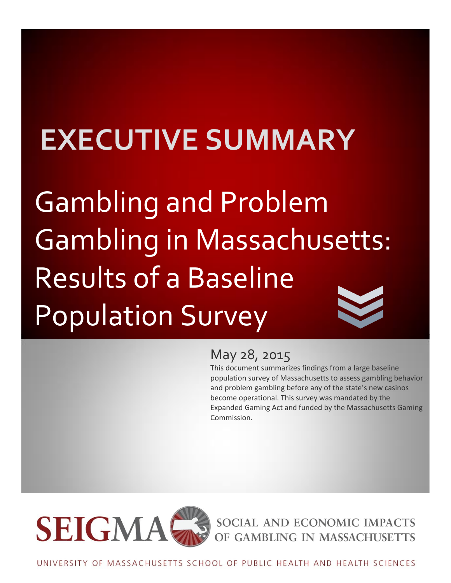# **EXECUTIVE SUMMARY**

Gambling and Problem Gambling in Massachusetts: Results of a Baseline Population Survey

## May 28, 2015

This document summarizes findings from a large baseline population survey of Massachusetts to assess gambling behavior and problem gambling before any of the state's new casinos become operational. This survey was mandated by the Expanded Gaming Act and funded by the Massachusetts Gaming Commission.



SOCIAL AND ECONOMIC IMPACTS OF GAMBLING IN MASSACHUSETTS

UNIVERSITY OF MASSACHUSETTS SCHOOL OF PUBLIC HEALTH AND HEALTH SCIENCES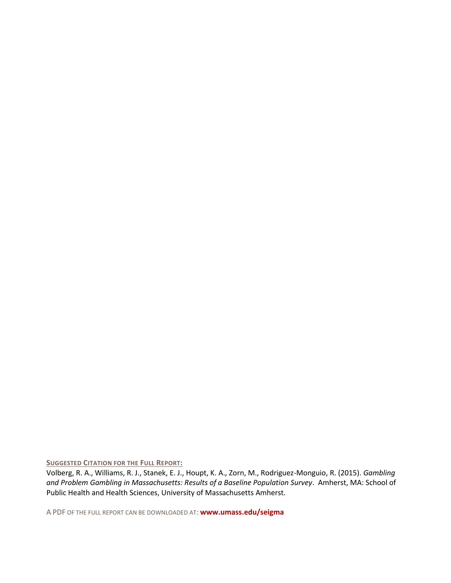**SUGGESTED CITATION FOR THE FULL REPORT:**

Volberg, R. A., Williams, R. J., Stanek, E. J., Houpt, K. A., Zorn, M., Rodriguez-Monguio, R. (2015). *Gambling and Problem Gambling in Massachusetts: Results of a Baseline Population Survey*. Amherst, MA: School of Public Health and Health Sciences, University of Massachusetts Amherst.

A PDF OF THE FULL REPORT CAN BE DOWNLOADED AT: **[www.umass.edu/seigma](http://www.umass.edu/seigma)**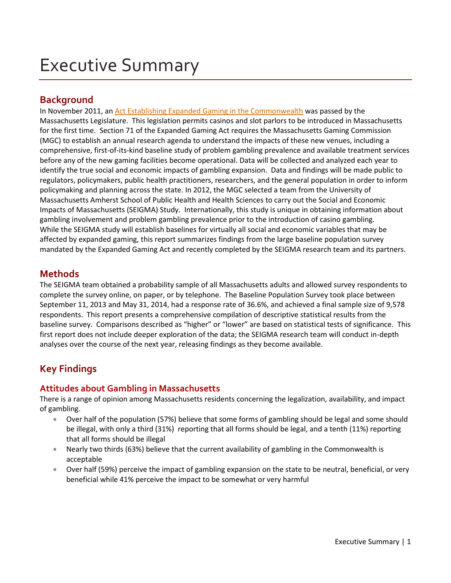## Executive Summary

## **Background**

In November 2011, an [Act Establishing Expanded Gaming in the Commonwealth](http://www.malegislature.gov/Laws/SessionLaws/Acts/2011/Chapter194) was passed by the Massachusetts Legislature. This legislation permits casinos and slot parlors to be introduced in Massachusetts for the first time. Section 71 of the Expanded Gaming Act requires the Massachusetts Gaming Commission (MGC) to establish an annual research agenda to understand the impacts of these new venues, including a comprehensive, first-of-its-kind baseline study of problem gambling prevalence and available treatment services before any of the new gaming facilities become operational. Data will be collected and analyzed each year to identify the true social and economic impacts of gambling expansion. Data and findings will be made public to regulators, policymakers, public health practitioners, researchers, and the general population in order to inform policymaking and planning across the state. In 2012, the MGC selected a team from the University of Massachusetts Amherst School of Public Health and Health Sciences to carry out the Social and Economic Impacts of Massachusetts (SEIGMA) Study. Internationally, this study is unique in obtaining information about gambling involvement and problem gambling prevalence prior to the introduction of casino gambling. While the SEIGMA study will establish baselines for virtually all social and economic variables that may be affected by expanded gaming, this report summarizes findings from the large baseline population survey mandated by the Expanded Gaming Act and recently completed by the SEIGMA research team and its partners.

## **Methods**

The SEIGMA team obtained a probability sample of all Massachusetts adults and allowed survey respondents to complete the survey online, on paper, or by telephone. The Baseline Population Survey took place between September 11, 2013 and May 31, 2014, had a response rate of 36.6%, and achieved a final sample size of 9,578 respondents. This report presents a comprehensive compilation of descriptive statistical results from the baseline survey. Comparisons described as "higher" or "lower" are based on statistical tests of significance. This first report does not include deeper exploration of the data; the SEIGMA research team will conduct in-depth analyses over the course of the next year, releasing findings as they become available.

## **Key Findings**

## **Attitudes about Gambling in Massachusetts**

There is a range of opinion among Massachusetts residents concerning the legalization, availability, and impact of gambling.

- Over half of the population (57%) believe that some forms of gambling should be legal and some should be illegal, with only a third (31%) reporting that all forms should be legal, and a tenth (11%) reporting that all forms should be illegal
- Nearly two thirds (63%) believe that the current availability of gambling in the Commonwealth is acceptable
- Over half (59%) perceive the impact of gambling expansion on the state to be neutral, beneficial, or very beneficial while 41% perceive the impact to be somewhat or very harmful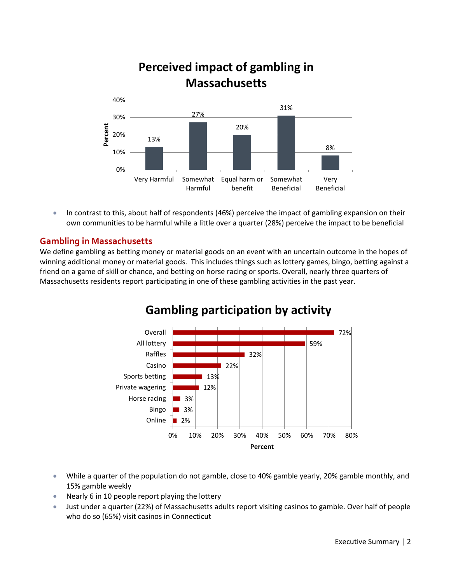

 In contrast to this, about half of respondents (46%) perceive the impact of gambling expansion on their own communities to be harmful while a little over a quarter (28%) perceive the impact to be beneficial

## **Gambling in Massachusetts**

We define gambling as betting money or material goods on an event with an uncertain outcome in the hopes of winning additional money or material goods. This includes things such as lottery games, bingo, betting against a friend on a game of skill or chance, and betting on horse racing or sports. Overall, nearly three quarters of Massachusetts residents report participating in one of these gambling activities in the past year.



## **Gambling participation by activity**

- While a quarter of the population do not gamble, close to 40% gamble yearly, 20% gamble monthly, and 15% gamble weekly
- Nearly 6 in 10 people report playing the lottery
- Just under a quarter (22%) of Massachusetts adults report visiting casinos to gamble. Over half of people who do so (65%) visit casinos in Connecticut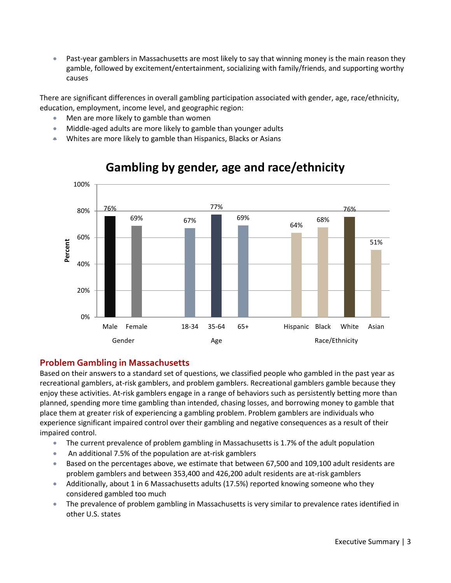Past-year gamblers in Massachusetts are most likely to say that winning money is the main reason they gamble, followed by excitement/entertainment, socializing with family/friends, and supporting worthy causes

There are significant differences in overall gambling participation associated with gender, age, race/ethnicity, education, employment, income level, and geographic region:

- Men are more likely to gamble than women
- Middle-aged adults are more likely to gamble than younger adults
- Whites are more likely to gamble than Hispanics, Blacks or Asians



## **Gambling by gender, age and race/ethnicity**

## **Problem Gambling in Massachusetts**

Based on their answers to a standard set of questions, we classified people who gambled in the past year as recreational gamblers, at-risk gamblers, and problem gamblers. Recreational gamblers gamble because they enjoy these activities. At-risk gamblers engage in a range of behaviors such as persistently betting more than planned, spending more time gambling than intended, chasing losses, and borrowing money to gamble that place them at greater risk of experiencing a gambling problem. Problem gamblers are individuals who experience significant impaired control over their gambling and negative consequences as a result of their impaired control.

- The current prevalence of problem gambling in Massachusetts is 1.7% of the adult population
- An additional 7.5% of the population are at-risk gamblers
- Based on the percentages above, we estimate that between 67,500 and 109,100 adult residents are problem gamblers and between 353,400 and 426,200 adult residents are at-risk gamblers
- Additionally, about 1 in 6 Massachusetts adults (17.5%) reported knowing someone who they considered gambled too much
- The prevalence of problem gambling in Massachusetts is very similar to prevalence rates identified in other U.S. states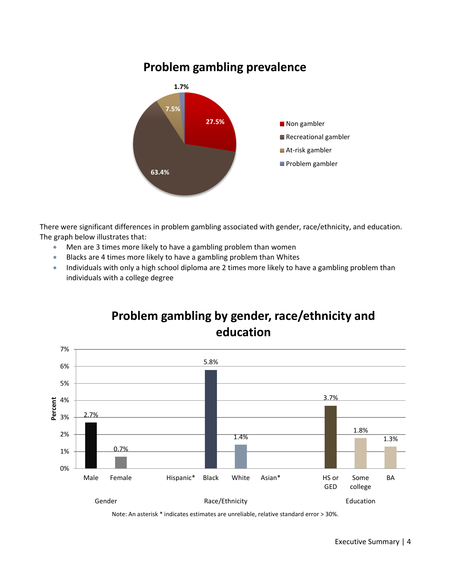

#### There were significant differences in problem gambling associated with gender, race/ethnicity, and education. The graph below illustrates that:

- Men are 3 times more likely to have a gambling problem than women
- Blacks are 4 times more likely to have a gambling problem than Whites
- Individuals with only a high school diploma are 2 times more likely to have a gambling problem than individuals with a college degree



**Problem gambling by gender, race/ethnicity and education**

Note: An asterisk \* indicates estimates are unreliable, relative standard error > 30%.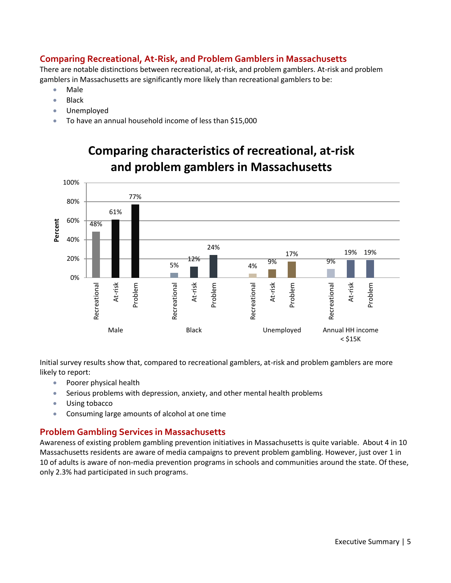## **Comparing Recreational, At-Risk, and Problem Gamblers in Massachusetts**

There are notable distinctions between recreational, at-risk, and problem gamblers. At-risk and problem gamblers in Massachusetts are significantly more likely than recreational gamblers to be:

- Male
- Black
- Unemployed
- To have an annual household income of less than \$15,000



**Comparing characteristics of recreational, at-risk and problem gamblers in Massachusetts**

Initial survey results show that, compared to recreational gamblers, at-risk and problem gamblers are more likely to report:

- Poorer physical health
- Serious problems with depression, anxiety, and other mental health problems
- Using tobacco
- Consuming large amounts of alcohol at one time

## **Problem Gambling Services in Massachusetts**

Awareness of existing problem gambling prevention initiatives in Massachusetts is quite variable. About 4 in 10 Massachusetts residents are aware of media campaigns to prevent problem gambling. However, just over 1 in 10 of adults is aware of non-media prevention programs in schools and communities around the state. Of these, only 2.3% had participated in such programs.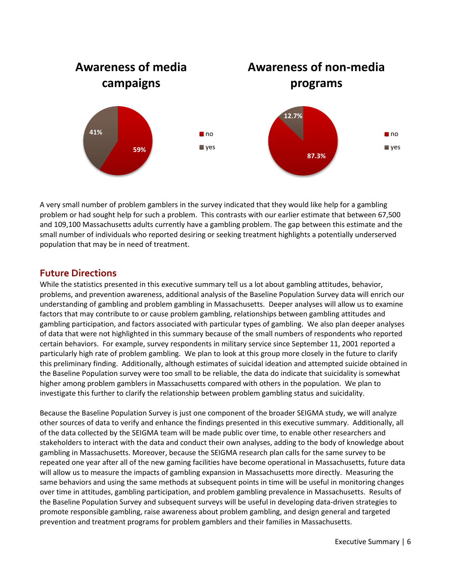

A very small number of problem gamblers in the survey indicated that they would like help for a gambling problem or had sought help for such a problem. This contrasts with our earlier estimate that between 67,500 and 109,100 Massachusetts adults currently have a gambling problem. The gap between this estimate and the small number of individuals who reported desiring or seeking treatment highlights a potentially underserved population that may be in need of treatment.

## **Future Directions**

While the statistics presented in this executive summary tell us a lot about gambling attitudes, behavior, problems, and prevention awareness, additional analysis of the Baseline Population Survey data will enrich our understanding of gambling and problem gambling in Massachusetts. Deeper analyses will allow us to examine factors that may contribute to or cause problem gambling, relationships between gambling attitudes and gambling participation, and factors associated with particular types of gambling. We also plan deeper analyses of data that were not highlighted in this summary because of the small numbers of respondents who reported certain behaviors. For example, survey respondents in military service since September 11, 2001 reported a particularly high rate of problem gambling. We plan to look at this group more closely in the future to clarify this preliminary finding. Additionally, although estimates of suicidal ideation and attempted suicide obtained in the Baseline Population survey were too small to be reliable, the data do indicate that suicidality is somewhat higher among problem gamblers in Massachusetts compared with others in the population. We plan to investigate this further to clarify the relationship between problem gambling status and suicidality.

Because the Baseline Population Survey is just one component of the broader SEIGMA study, we will analyze other sources of data to verify and enhance the findings presented in this executive summary. Additionally, all of the data collected by the SEIGMA team will be made public over time, to enable other researchers and stakeholders to interact with the data and conduct their own analyses, adding to the body of knowledge about gambling in Massachusetts. Moreover, because the SEIGMA research plan calls for the same survey to be repeated one year after all of the new gaming facilities have become operational in Massachusetts, future data will allow us to measure the impacts of gambling expansion in Massachusetts more directly. Measuring the same behaviors and using the same methods at subsequent points in time will be useful in monitoring changes over time in attitudes, gambling participation, and problem gambling prevalence in Massachusetts. Results of the Baseline Population Survey and subsequent surveys will be useful in developing data-driven strategies to promote responsible gambling, raise awareness about problem gambling, and design general and targeted prevention and treatment programs for problem gamblers and their families in Massachusetts.